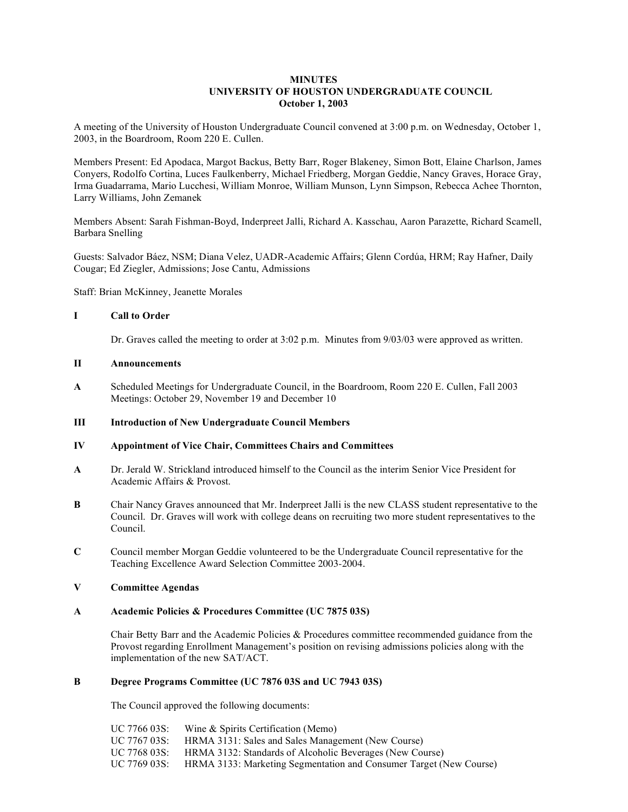## **MINUTES UNIVERSITY OF HOUSTON UNDERGRADUATE COUNCIL October 1, 2003**

A meeting of the University of Houston Undergraduate Council convened at 3:00 p.m. on Wednesday, October 1, 2003, in the Boardroom, Room 220 E. Cullen.

Members Present: Ed Apodaca, Margot Backus, Betty Barr, Roger Blakeney, Simon Bott, Elaine Charlson, James Conyers, Rodolfo Cortina, Luces Faulkenberry, Michael Friedberg, Morgan Geddie, Nancy Graves, Horace Gray, Irma Guadarrama, Mario Lucchesi, William Monroe, William Munson, Lynn Simpson, Rebecca Achee Thornton, Larry Williams, John Zemanek

Members Absent: Sarah Fishman-Boyd, Inderpreet Jalli, Richard A. Kasschau, Aaron Parazette, Richard Scamell, Barbara Snelling

Guests: Salvador Báez, NSM; Diana Velez, UADR-Academic Affairs; Glenn Cordúa, HRM; Ray Hafner, Daily Cougar; Ed Ziegler, Admissions; Jose Cantu, Admissions

Staff: Brian McKinney, Jeanette Morales

## **I Call to Order**

Dr. Graves called the meeting to order at 3:02 p.m. Minutes from 9/03/03 were approved as written.

#### **II Announcements**

**A** Scheduled Meetings for Undergraduate Council, in the Boardroom, Room 220 E. Cullen, Fall 2003 Meetings: October 29, November 19 and December 10

## **III Introduction of New Undergraduate Council Members**

# **IV Appointment of Vice Chair, Committees Chairs and Committees**

- **A** Dr. Jerald W. Strickland introduced himself to the Council as the interim Senior Vice President for Academic Affairs & Provost.
- **B** Chair Nancy Graves announced that Mr. Inderpreet Jalli is the new CLASS student representative to the Council. Dr. Graves will work with college deans on recruiting two more student representatives to the Council.
- **C** Council member Morgan Geddie volunteered to be the Undergraduate Council representative for the Teaching Excellence Award Selection Committee 2003-2004.

### **V Committee Agendas**

### **A Academic Policies & Procedures Committee (UC 7875 03S)**

Chair Betty Barr and the Academic Policies & Procedures committee recommended guidance from the Provost regarding Enrollment Management's position on revising admissions policies along with the implementation of the new SAT/ACT.

### **B Degree Programs Committee (UC 7876 03S and UC 7943 03S)**

The Council approved the following documents:

| UC 7766 03S: | Wine & Spirits Certification (Memo)                                |
|--------------|--------------------------------------------------------------------|
| UC 7767 03S: | HRMA 3131: Sales and Sales Management (New Course)                 |
| UC 7768 03S: | HRMA 3132: Standards of Alcoholic Beverages (New Course)           |
| UC 7769 03S: | HRMA 3133: Marketing Segmentation and Consumer Target (New Course) |